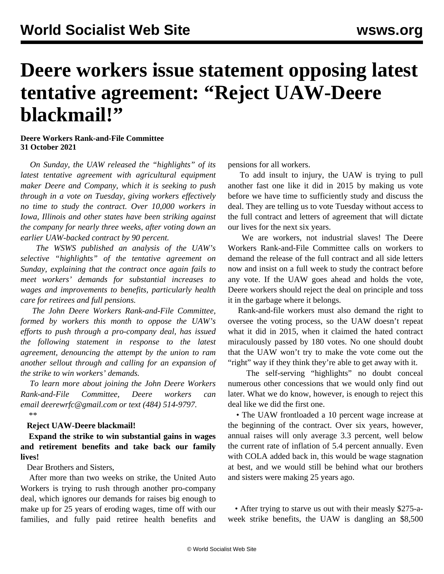## **Deere workers issue statement opposing latest tentative agreement: "Reject UAW-Deere blackmail!"**

## **Deere Workers Rank-and-File Committee 31 October 2021**

 *On Sunday, the UAW released the "highlights" of its latest tentative agreement with agricultural equipment maker Deere and Company, which it is seeking to push through in a vote on Tuesday, giving workers effectively no time to study the contract. Over 10,000 workers in Iowa, Illinois and other states have been striking against the company for nearly three weeks, after voting down an earlier UAW-backed contract by 90 percent.*

 *The WSWS published an [analysis of the UAW's](/en/articles/2021/11/01/deer-n01.html) [selective "highlights"](/en/articles/2021/11/01/deer-n01.html) of the tentative agreement on Sunday, explaining that the contract once again fails to meet workers' demands for substantial increases to wages and improvements to benefits, particularly health care for retirees and full pensions.*

 *The John Deere Workers Rank-and-File Committee, formed by workers this month to oppose the UAW's efforts to push through a pro-company deal, has issued the following statement in response to the latest agreement, denouncing the attempt by the union to ram another sellout through and calling for an expansion of the strike to win workers' demands.*

 *To learn more about joining the John Deere Workers Rank-and-File Committee, Deere workers can email [deerewrfc@gmail.com](mailto:deerewrfc@gmail.com) or text (484) 514-9797.* \*\*

## **Reject UAW-Deere blackmail!**

 **Expand the strike to win substantial gains in wages and retirement benefits and take back our family lives!**

Dear Brothers and Sisters,

 After more than two weeks on strike, the United Auto Workers is trying to rush through another pro-company deal, which ignores our demands for raises big enough to make up for 25 years of eroding wages, time off with our families, and fully paid retiree health benefits and pensions for all workers.

 To add insult to injury, the UAW is trying to pull another fast one like it did in 2015 by making us vote before we have time to sufficiently study and discuss the deal. They are telling us to vote Tuesday without access to the full contract and letters of agreement that will dictate our lives for the next six years.

 We are workers, not industrial slaves! The Deere Workers Rank-and-File Committee calls on workers to demand the release of the full contract and all side letters now and insist on a full week to study the contract before any vote. If the UAW goes ahead and holds the vote, Deere workers should reject the deal on principle and toss it in the garbage where it belongs.

 Rank-and-file workers must also demand the right to oversee the voting process, so the UAW doesn't repeat what it did in 2015, when it claimed the hated contract miraculously passed by 180 votes. No one should doubt that the UAW won't try to make the vote come out the "right" way if they think they're able to get away with it.

 The self-serving "highlights" no doubt conceal numerous other concessions that we would only find out later. What we do know, however, is enough to reject this deal like we did the first one.

 • The UAW frontloaded a 10 percent wage increase at the beginning of the contract. Over six years, however, annual raises will only average 3.3 percent, well below the current rate of inflation of 5.4 percent annually. Even with COLA added back in, this would be wage stagnation at best, and we would still be behind what our brothers and sisters were making 25 years ago.

 • After trying to starve us out with their measly \$275-aweek strike benefits, the UAW is dangling an \$8,500